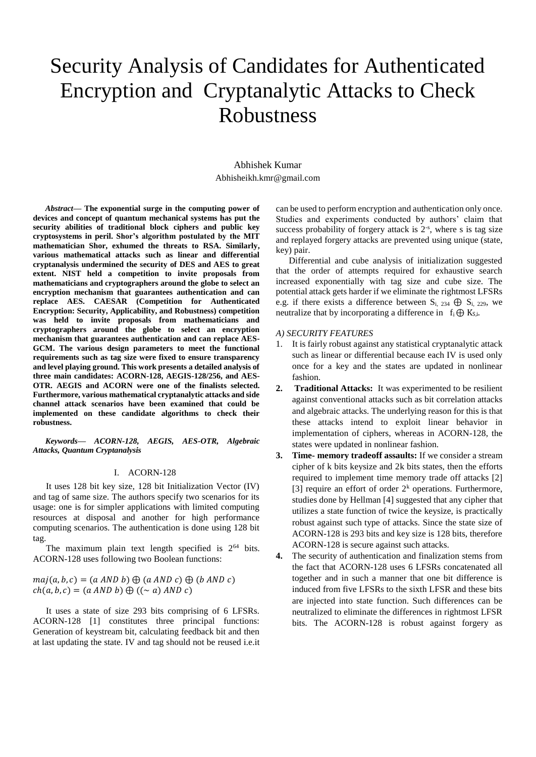# Security Analysis of Candidates for Authenticated Encryption and Cryptanalytic Attacks to Check Robustness

Abhishek Kumar [Abhisheikh.kmr@gmail.com](mailto:Abhisheikh.kmr@gmail.com)

*Abstract***— The exponential surge in the computing power of devices and concept of quantum mechanical systems has put the security abilities of traditional block ciphers and public key cryptosystems in peril. Shor's algorithm postulated by the MIT mathematician Shor, exhumed the threats to RSA. Similarly, various mathematical attacks such as linear and differential cryptanalysis undermined the security of DES and AES to great extent. NIST held a competition to invite proposals from mathematicians and cryptographers around the globe to select an encryption mechanism that guarantees authentication and can replace AES. CAESAR (Competition for Authenticated Encryption: Security, Applicability, and Robustness) competition was held to invite proposals from mathematicians and cryptographers around the globe to select an encryption mechanism that guarantees authentication and can replace AES-GCM. The various design parameters to meet the functional requirements such as tag size were fixed to ensure transparency and level playing ground. This work presents a detailed analysis of three main candidates: ACORN-128, AEGIS-128/256, and AES-OTR. AEGIS and ACORN were one of the finalists selected. Furthermore, various mathematical cryptanalytic attacks and side channel attack scenarios have been examined that could be implemented on these candidate algorithms to check their robustness.**

*Keywords— ACORN-128, AEGIS, AES-OTR, Algebraic Attacks, Quantum Cryptanalysis*

## I. ACORN-128

It uses 128 bit key size, 128 bit Initialization Vector (IV) and tag of same size. The authors specify two scenarios for its usage: one is for simpler applications with limited computing resources at disposal and another for high performance computing scenarios. The authentication is done using 128 bit tag.

The maximum plain text length specified is  $2^{64}$  bits. ACORN-128 uses following two Boolean functions:

 $maj(a, b, c) = (a \, AND \, b) \bigoplus (a \, AND \, c) \bigoplus (b \, AND \, c)$  $ch(a, b, c) = (a \text{ AND } b) \bigoplus ((\sim a) \text{ AND } c)$ 

It uses a state of size 293 bits comprising of 6 LFSRs. ACORN-128 [1] constitutes three principal functions: Generation of keystream bit, calculating feedback bit and then at last updating the state. IV and tag should not be reused i.e.it can be used to perform encryption and authentication only once. Studies and experiments conducted by authors' claim that success probability of forgery attack is  $2<sup>-s</sup>$ , where s is tag size and replayed forgery attacks are prevented using unique (state, key) pair.

Differential and cube analysis of initialization suggested that the order of attempts required for exhaustive search increased exponentially with tag size and cube size. The potential attack gets harder if we eliminate the rightmost LFSRs e.g. if there exists a difference between  $S_i$ , 234  $\bigoplus S_i$ , 229, we neutralize that by incorporating a difference in  $f_i \oplus K_{S,i}$ .

# *A) SECURITY FEATURES*

- 1. It is fairly robust against any statistical cryptanalytic attack such as linear or differential because each IV is used only once for a key and the states are updated in nonlinear fashion.
- **2. Traditional Attacks:** It was experimented to be resilient against conventional attacks such as bit correlation attacks and algebraic attacks. The underlying reason for this is that these attacks intend to exploit linear behavior in implementation of ciphers, whereas in ACORN-128, the states were updated in nonlinear fashion.
- **3. Time- memory tradeoff assaults:** If we consider a stream cipher of k bits keysize and 2k bits states, then the efforts required to implement time memory trade off attacks [2] [3] require an effort of order  $2<sup>k</sup>$  operations. Furthermore, studies done by Hellman [4] suggested that any cipher that utilizes a state function of twice the keysize, is practically robust against such type of attacks. Since the state size of ACORN-128 is 293 bits and key size is 128 bits, therefore ACORN-128 is secure against such attacks.
- **4.** The security of authentication and finalization stems from the fact that ACORN-128 uses 6 LFSRs concatenated all together and in such a manner that one bit difference is induced from five LFSRs to the sixth LFSR and these bits are injected into state function. Such differences can be neutralized to eliminate the differences in rightmost LFSR bits. The ACORN-128 is robust against forgery as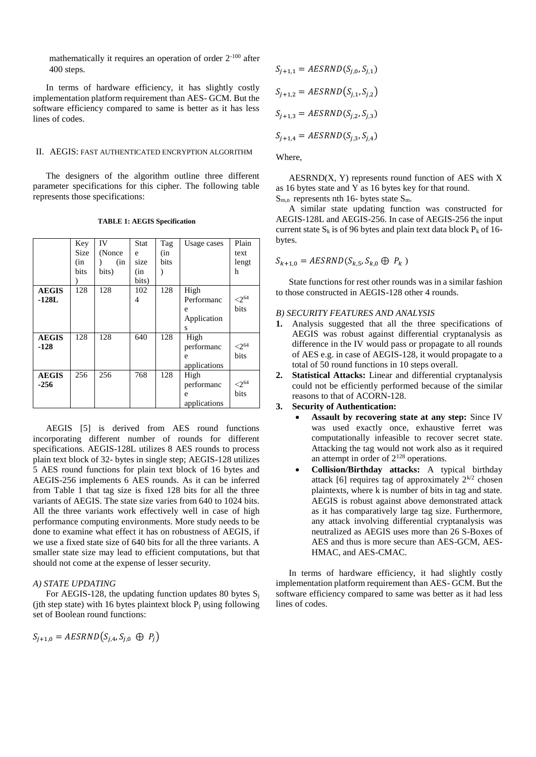mathematically it requires an operation of order 2-100 after 400 steps.

In terms of hardware efficiency, it has slightly costly implementation platform requirement than AES- GCM. But the software efficiency compared to same is better as it has less lines of codes.

# II. AEGIS: FAST AUTHENTICATED ENCRYPTION ALGORITHM

The designers of the algorithm outline three different parameter specifications for this cipher. The following table represents those specifications:

|              | Key  | IV     | Stat  | Tag  | Usage cases  | Plain               |
|--------------|------|--------|-------|------|--------------|---------------------|
|              | Size | (Nonce | e     | (in  |              | text                |
|              | (in  | (in    | size  | bits |              | lengt               |
|              | bits | bits)  | (in   |      |              | h                   |
|              |      |        | bits) |      |              |                     |
| <b>AEGIS</b> | 128  | 128    | 102   | 128  | High         |                     |
| $-128L$      |      |        | 4     |      | Performanc   | $<$ 2 <sup>64</sup> |
|              |      |        |       |      | e            | bits                |
|              |      |        |       |      | Application  |                     |
|              |      |        |       |      | S            |                     |
| <b>AEGIS</b> | 128  | 128    | 640   | 128  | High         |                     |
| $-128$       |      |        |       |      | performanc   | ${<}2^{64}$         |
|              |      |        |       |      | e            | bits                |
|              |      |        |       |      | applications |                     |
| <b>AEGIS</b> | 256  | 256    | 768   | 128  | High         |                     |
| $-256$       |      |        |       |      | performanc   | ${<}2^{64}$         |
|              |      |        |       |      | e            | bits                |
|              |      |        |       |      | applications |                     |

**TABLE 1: AEGIS Specification**

AEGIS [5] is derived from AES round functions incorporating different number of rounds for different specifications. AEGIS-128L utilizes 8 AES rounds to process plain text block of 32- bytes in single step; AEGIS-128 utilizes 5 AES round functions for plain text block of 16 bytes and AEGIS-256 implements 6 AES rounds. As it can be inferred from Table 1 that tag size is fixed 128 bits for all the three variants of AEGIS. The state size varies from 640 to 1024 bits. All the three variants work effectively well in case of high performance computing environments. More study needs to be done to examine what effect it has on robustness of AEGIS, if we use a fixed state size of 640 bits for all the three variants. A smaller state size may lead to efficient computations, but that should not come at the expense of lesser security.

# *A) STATE UPDATING*

For AEGIS-128, the updating function updates 80 bytes  $S_i$ (jth step state) with 16 bytes plaintext block  $P_j$  using following set of Boolean round functions:

 $S_{j+1,0} = AESRND(S_{j,4}, S_{j,0} \oplus P_j)$ 

$$
S_{j+1,1} = AESRND(S_{j,0}, S_{j,1})
$$
  
\n
$$
S_{j+1,2} = AESRND(S_{j,1}, S_{j,2})
$$
  
\n
$$
S_{j+1,3} = AESRND(S_{j,2}, S_{j,3})
$$
  
\n
$$
S_{j+1,4} = AESRND(S_{j,3}, S_{j,4})
$$

Where,

 $AESRND(X, Y)$  represents round function of AES with X as 16 bytes state and Y as 16 bytes key for that round.

 $S_{m,n}$  represents nth 16- bytes state  $S_m$ .

A similar state updating function was constructed for AEGIS-128L and AEGIS-256. In case of AEGIS-256 the input current state  $S_k$  is of 96 bytes and plain text data block  $P_k$  of 16bytes.

$$
S_{k+1,0} = AESRND(S_{k,5}, S_{k,0} \oplus P_k)
$$

State functions for rest other rounds was in a similar fashion to those constructed in AEGIS-128 other 4 rounds.

# *B) SECURITY FEATURES AND ANALYSIS*

- **1.** Analysis suggested that all the three specifications of AEGIS was robust against differential cryptanalysis as difference in the IV would pass or propagate to all rounds of AES e.g. in case of AEGIS-128, it would propagate to a total of 50 round functions in 10 steps overall.
- **2. Statistical Attacks:** Linear and differential cryptanalysis could not be efficiently performed because of the similar reasons to that of ACORN-128.
- **3. Security of Authentication:**
	- **Assault by recovering state at any step:** Since IV was used exactly once, exhaustive ferret was computationally infeasible to recover secret state. Attacking the tag would not work also as it required an attempt in order of 2<sup>128</sup> operations.
	- **Collision/Birthday attacks:** A typical birthday attack [6] requires tag of approximately  $2^{k/2}$  chosen plaintexts, where k is number of bits in tag and state. AEGIS is robust against above demonstrated attack as it has comparatively large tag size. Furthermore, any attack involving differential cryptanalysis was neutralized as AEGIS uses more than 26 S-Boxes of AES and thus is more secure than AES-GCM, AES-HMAC, and AES-CMAC.

In terms of hardware efficiency, it had slightly costly implementation platform requirement than AES- GCM. But the software efficiency compared to same was better as it had less lines of codes.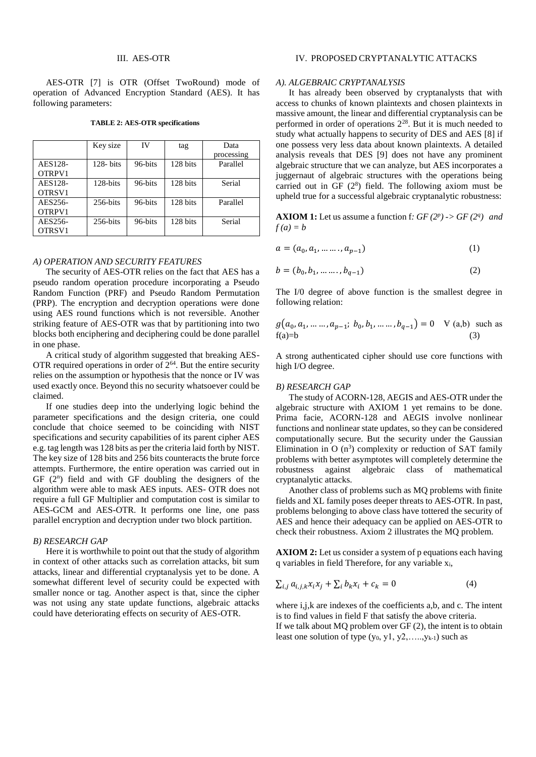#### III. AES-OTR

AES-OTR [7] is OTR (Offset TwoRound) mode of operation of Advanced Encryption Standard (AES). It has following parameters:

|         | Key size     | IV      | tag      | Data       |
|---------|--------------|---------|----------|------------|
|         |              |         |          | processing |
| AES128- | $128 - bits$ | 96-bits | 128 bits | Parallel   |
| OTRPV1  |              |         |          |            |
| AES128- | 128-bits     | 96-bits | 128 bits | Serial     |
| OTRSV1  |              |         |          |            |
| AES256- | $256$ -bits  | 96-bits | 128 bits | Parallel   |
| OTRPV1  |              |         |          |            |
| AES256- | $256$ -bits  | 96-bits | 128 bits | Serial     |
| OTRSV1  |              |         |          |            |

**TABLE 2: AES-OTR specifications**

## *A) OPERATION AND SECURITY FEATURES*

The security of AES-OTR relies on the fact that AES has a pseudo random operation procedure incorporating a Pseudo Random Function (PRF) and Pseudo Random Permutation (PRP). The encryption and decryption operations were done using AES round functions which is not reversible. Another striking feature of AES-OTR was that by partitioning into two blocks both enciphering and deciphering could be done parallel in one phase.

A critical study of algorithm suggested that breaking AES-OTR required operations in order of  $2<sup>64</sup>$ . But the entire security relies on the assumption or hypothesis that the nonce or IV was used exactly once. Beyond this no security whatsoever could be claimed.

If one studies deep into the underlying logic behind the parameter specifications and the design criteria, one could conclude that choice seemed to be coinciding with NIST specifications and security capabilities of its parent cipher AES e.g. tag length was 128 bits as per the criteria laid forth by NIST. The key size of 128 bits and 256 bits counteracts the brute force attempts. Furthermore, the entire operation was carried out in  $GF(2^n)$  field and with  $GF$  doubling the designers of the algorithm were able to mask AES inputs. AES- OTR does not require a full GF Multiplier and computation cost is similar to AES-GCM and AES-OTR. It performs one line, one pass parallel encryption and decryption under two block partition.

## *B) RESEARCH GAP*

Here it is worthwhile to point out that the study of algorithm in context of other attacks such as correlation attacks, bit sum attacks, linear and differential cryptanalysis yet to be done. A somewhat different level of security could be expected with smaller nonce or tag. Another aspect is that, since the cipher was not using any state update functions, algebraic attacks could have deteriorating effects on security of AES-OTR.

### *A). ALGEBRAIC CRYPTANALYSIS*

It has already been observed by cryptanalysts that with access to chunks of known plaintexts and chosen plaintexts in massive amount, the linear and differential cryptanalysis can be performed in order of operations 2<sup>28</sup>. But it is much needed to study what actually happens to security of DES and AES [8] if one possess very less data about known plaintexts. A detailed analysis reveals that DES [9] does not have any prominent algebraic structure that we can analyze, but AES incorporates a juggernaut of algebraic structures with the operations being carried out in GF  $(2^8)$  field. The following axiom must be upheld true for a successful algebraic cryptanalytic robustness:

**AXIOM 1:** Let us assume a function f:  $GF(2^p) \rightarrow GF(2^q)$  and  $f(a) = b$ 

$$
a = (a_0, a_1, \dots, a_{p-1})
$$
 (1)

$$
b = (b_0, b_1, \dots \dots, b_{q-1})
$$
 (2)

The I/0 degree of above function is the smallest degree in following relation:

$$
g(a_0, a_1, \dots, a_{p-1}; b_0, b_1, \dots, b_{q-1}) = 0 \quad \forall (a,b) \text{ such as } f(a)=b \tag{3}
$$

A strong authenticated cipher should use core functions with high I/O degree.

## *B) RESEARCH GAP*

The study of ACORN-128, AEGIS and AES-OTR under the algebraic structure with AXIOM 1 yet remains to be done. Prima facie, ACORN-128 and AEGIS involve nonlinear functions and nonlinear state updates, so they can be considered computationally secure. But the security under the Gaussian Elimination in  $O(n^3)$  complexity or reduction of SAT family problems with better asymptotes will completely determine the robustness against algebraic class of mathematical cryptanalytic attacks.

Another class of problems such as MQ problems with finite fields and XL family poses deeper threats to AES-OTR. In past, problems belonging to above class have tottered the security of AES and hence their adequacy can be applied on AES-OTR to check their robustness. Axiom 2 illustrates the MQ problem.

**AXIOM 2:** Let us consider a system of p equations each having q variables in field Therefore, for any variable xi,

$$
\sum_{i,j} a_{i,j,k} x_i x_j + \sum_i b_k x_i + c_k = 0 \tag{4}
$$

where i,j,k are indexes of the coefficients a,b, and c. The intent is to find values in field F that satisfy the above criteria. If we talk about MQ problem over GF (2), the intent is to obtain least one solution of type  $(y_0, y_1, y_2, \ldots, y_{k-1})$  such as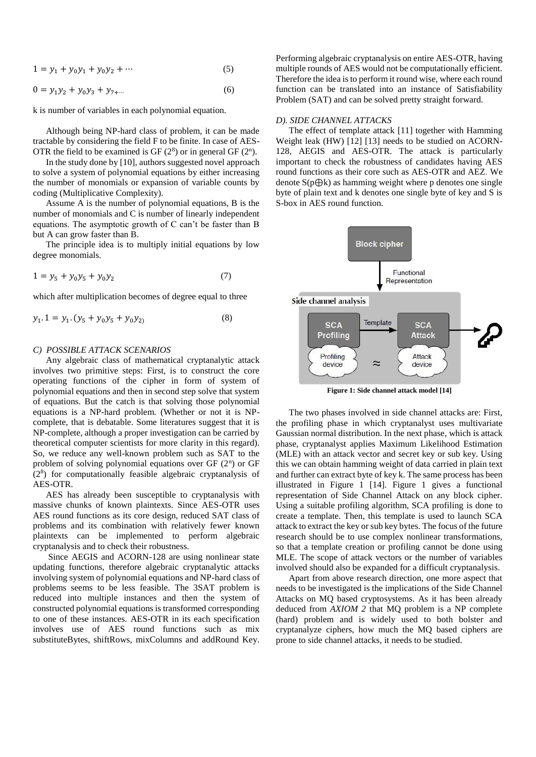$$
1 = y_1 + y_0 y_1 + y_0 y_2 + \cdots \tag{5}
$$

$$
0 = y_1 y_2 + y_0 y_3 + y_{7+\cdots} \tag{6}
$$

k is number of variables in each polynomial equation.

Although being NP-hard class of problem, it can be made tractable by considering the field F to be finite. In case of AES-OTR the field to be examined is GF  $(2^8)$  or in general GF  $(2^n)$ .

In the study done by [10], authors suggested novel approach to solve a system of polynomial equations by either increasing the number of monomials or expansion of variable counts by coding (Multiplicative Complexity).

Assume A is the number of polynomial equations, B is the number of monomials and C is number of linearly independent equations. The asymptotic growth of C can't be faster than B but A can grow faster than B.

The principle idea is to multiply initial equations by low degree monomials.

$$
1 = y_5 + y_0 y_5 + y_0 y_2 \tag{7}
$$

which after multiplication becomes of degree equal to three

$$
y_1 \t1 = y_1 \t(y_5 + y_0 y_5 + y_0 y_2) \t(8)
$$

## *C) POSSIBLE ATTACK SCENARIOS*

Any algebraic class of mathematical cryptanalytic attack involves two primitive steps: First, is to construct the core operating functions of the cipher in form of system of polynomial equations and then in second step solve that system of equations. But the catch is that solving those polynomial equations is a NP-hard problem. (Whether or not it is NPcomplete, that is debatable. Some literatures suggest that it is NP-complete, although a proper investigation can be carried by theoretical computer scientists for more clarity in this regard). So, we reduce any well-known problem such as SAT to the problem of solving polynomial equations over GF (2<sup>n</sup>) or GF (2<sup>8</sup> ) for computationally feasible algebraic cryptanalysis of AES-OTR.

AES has already been susceptible to cryptanalysis with massive chunks of known plaintexts. Since AES-OTR uses AES round functions as its core design, reduced SAT class of problems and its combination with relatively fewer known plaintexts can be implemented to perform algebraic cryptanalysis and to check their robustness.

Since AEGIS and ACORN-128 are using nonlinear state updating functions, therefore algebraic cryptanalytic attacks involving system of polynomial equations and NP-hard class of problems seems to be less feasible. The 3SAT problem is reduced into multiple instances and then the system of constructed polynomial equations is transformed corresponding to one of these instances. AES-OTR in its each specification involves use of AES round functions such as mix substituteBytes, shiftRows, mixColumns and addRound Key.

Performing algebraic cryptanalysis on entire AES-OTR, having multiple rounds of AES would not be computationally efficient. Therefore the idea is to perform it round wise, where each round function can be translated into an instance of Satisfiability Problem (SAT) and can be solved pretty straight forward.

#### *D). SIDE CHANNEL ATTACKS*

The effect of template attack [11] together with Hamming Weight leak (HW) [12] [13] needs to be studied on ACORN-128, AEGIS and AES-OTR. The attack is particularly important to check the robustness of candidates having AES round functions as their core such as AES-OTR and AEZ. We denote S(p⊕k) as hamming weight where p denotes one single byte of plain text and k denotes one single byte of key and S is S-box in AES round function.



**Figure 1: Side channel attack model [14]**

The two phases involved in side channel attacks are: First, the profiling phase in which cryptanalyst uses multivariate Gaussian normal distribution. In the next phase, which is attack phase, cryptanalyst applies Maximum Likelihood Estimation (MLE) with an attack vector and secret key or sub key. Using this we can obtain hamming weight of data carried in plain text and further can extract byte of key k. The same process has been illustrated in Figure 1 [14]. Figure 1 gives a functional representation of Side Channel Attack on any block cipher. Using a suitable profiling algorithm, SCA profiling is done to create a template. Then, this template is used to launch SCA attack to extract the key or sub key bytes. The focus of the future research should be to use complex nonlinear transformations, so that a template creation or profiling cannot be done using MLE. The scope of attack vectors or the number of variables involved should also be expanded for a difficult cryptanalysis.

Apart from above research direction, one more aspect that needs to be investigated is the implications of the Side Channel Attacks on MQ based cryptosystems. As it has been already deduced from *AXIOM 2* that MQ problem is a NP complete (hard) problem and is widely used to both bolster and cryptanalyze ciphers, how much the MQ based ciphers are prone to side channel attacks, it needs to be studied.